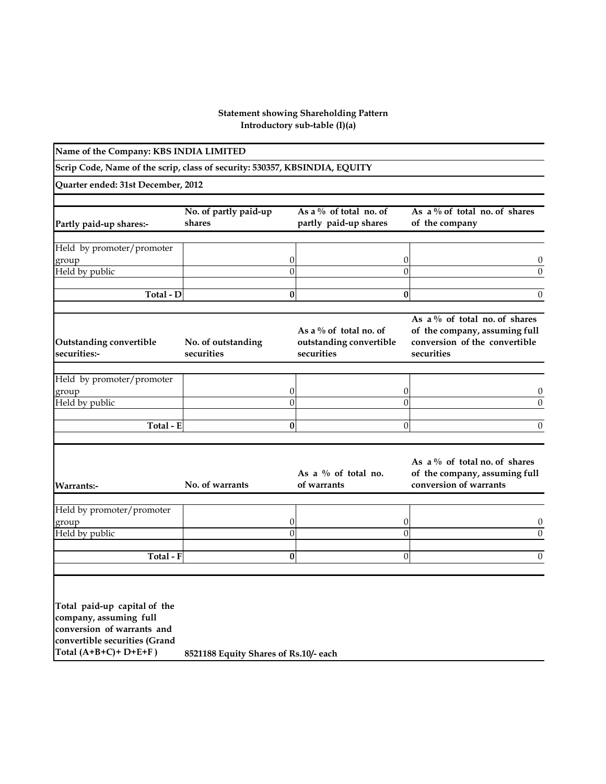## **Introductory sub-table (I)(a) Statement showing Shareholding Pattern**

| Name of the Company: KBS INDIA LIMITED                                                                                                         |                                       |                     |                                                      |                                                                                                               |                      |
|------------------------------------------------------------------------------------------------------------------------------------------------|---------------------------------------|---------------------|------------------------------------------------------|---------------------------------------------------------------------------------------------------------------|----------------------|
| Scrip Code, Name of the scrip, class of security: 530357, KBSINDIA, EQUITY                                                                     |                                       |                     |                                                      |                                                                                                               |                      |
| Quarter ended: 31st December, 2012                                                                                                             |                                       |                     |                                                      |                                                                                                               |                      |
| Partly paid-up shares:-                                                                                                                        | No. of partly paid-up<br>shares       |                     | As a $\%$ of total no. of<br>partly paid-up shares   | As a $\%$ of total no. of shares<br>of the company                                                            |                      |
| Held by promoter/promoter                                                                                                                      |                                       |                     |                                                      |                                                                                                               |                      |
| group<br>Held by public                                                                                                                        |                                       | 0<br>$\overline{0}$ | 0<br>$\overline{0}$                                  |                                                                                                               | U<br>$\Omega$        |
| Total - D                                                                                                                                      |                                       | $\bf{0}$            | $\bf{0}$                                             |                                                                                                               | $\theta$             |
| Outstanding convertible<br>securities:-                                                                                                        | No. of outstanding<br>securities      | securities          | As a $\%$ of total no. of<br>outstanding convertible | As a % of total no. of shares<br>of the company, assuming full<br>conversion of the convertible<br>securities |                      |
| Held by promoter/promoter                                                                                                                      |                                       |                     |                                                      |                                                                                                               |                      |
| group<br>Held by public                                                                                                                        |                                       | 0<br>$\overline{0}$ | 0<br>$\overline{0}$                                  |                                                                                                               | U<br>$\Omega$        |
| Total - E                                                                                                                                      |                                       | $\bf{0}$            | $\overline{0}$                                       |                                                                                                               | $\Omega$             |
| <b>Warrants:-</b>                                                                                                                              | No. of warrants                       | of warrants         | As a $\%$ of total no.                               | As a $\%$ of total no. of shares<br>of the company, assuming full<br>conversion of warrants                   |                      |
| Held by promoter/promoter<br>group<br>Held by public                                                                                           |                                       | 0<br>$\overline{0}$ | 0<br>$\overline{0}$                                  |                                                                                                               | $\theta$<br>$\theta$ |
| Total - F                                                                                                                                      |                                       | 0                   | 0                                                    |                                                                                                               | $\theta$             |
| Total paid-up capital of the<br>company, assuming full<br>conversion of warrants and<br>convertible securities (Grand<br>Total (A+B+C)+ D+E+F) | 8521188 Equity Shares of Rs.10/- each |                     |                                                      |                                                                                                               |                      |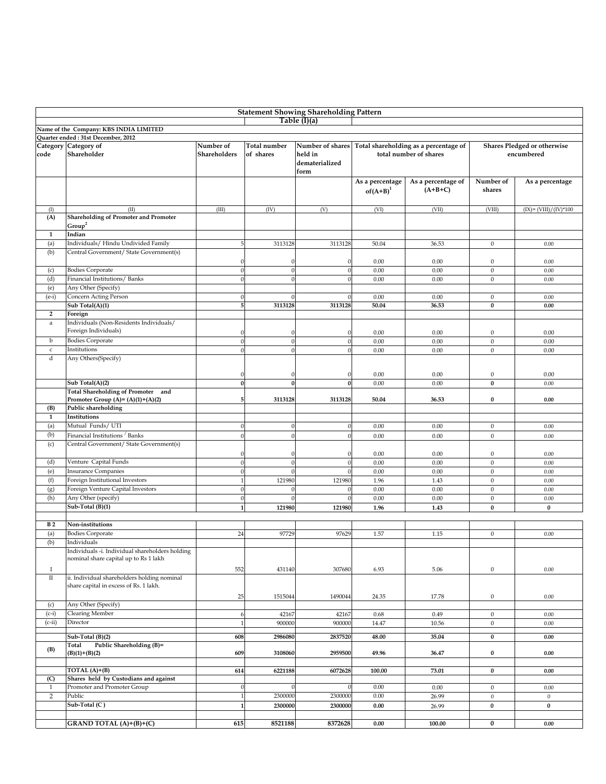| <b>Statement Showing Shareholding Pattern</b> |                                                                                          |                |                  |                  |                                       |                        |                  |                             |  |  |
|-----------------------------------------------|------------------------------------------------------------------------------------------|----------------|------------------|------------------|---------------------------------------|------------------------|------------------|-----------------------------|--|--|
|                                               |                                                                                          |                |                  | Table (I)(a)     |                                       |                        |                  |                             |  |  |
|                                               | Name of the Company: KBS INDIA LIMITED                                                   |                |                  |                  |                                       |                        |                  |                             |  |  |
|                                               | Quarter ended: 31st December, 2012                                                       |                |                  |                  |                                       |                        |                  |                             |  |  |
|                                               | Category Category of                                                                     | Number of      | Total number     | Number of shares | Total shareholding as a percentage of |                        |                  | Shares Pledged or otherwise |  |  |
| code                                          | Shareholder                                                                              | Shareholders   | of shares        | held in          |                                       | total number of shares |                  | encumbered                  |  |  |
|                                               |                                                                                          |                |                  | dematerialized   |                                       |                        |                  |                             |  |  |
|                                               |                                                                                          |                |                  | form             |                                       |                        |                  |                             |  |  |
|                                               |                                                                                          |                |                  |                  | As a percentage                       | As a percentage of     | Number of        | As a percentage             |  |  |
|                                               |                                                                                          |                |                  |                  | $of(A+B)^1$                           | $(A+B+C)$              | shares           |                             |  |  |
|                                               |                                                                                          |                |                  |                  |                                       |                        |                  |                             |  |  |
| (I)                                           | (II)                                                                                     | (III)          | (IV)             | (V)              | (VI)                                  | (VII)                  | (VIII)           | $(IX) = (VIII)/(IV)*100$    |  |  |
| (A)                                           | <b>Shareholding of Promoter and Promoter</b>                                             |                |                  |                  |                                       |                        |                  |                             |  |  |
|                                               | Group <sup>2</sup>                                                                       |                |                  |                  |                                       |                        |                  |                             |  |  |
| $\mathbf{1}$                                  | Indian                                                                                   |                |                  |                  |                                       |                        |                  |                             |  |  |
| (a)                                           | Individuals/Hindu Undivided Family                                                       | 5              | 3113128          | 3113128          | 50.04                                 | 36.53                  | $\mathbf{0}$     | 0.00                        |  |  |
| (b)                                           | Central Government/ State Government(s)                                                  |                |                  |                  |                                       |                        |                  |                             |  |  |
|                                               |                                                                                          | $\mathbf{0}$   | 0                | 0                | 0.00                                  | 0.00                   | $\boldsymbol{0}$ | 0.00                        |  |  |
| (c)                                           | <b>Bodies Corporate</b>                                                                  | $\theta$       | $\boldsymbol{0}$ | $\sqrt{ }$       |                                       |                        | $\mathbf{0}$     |                             |  |  |
|                                               | Financial Institutions/ Banks                                                            |                |                  |                  | 0.00                                  | 0.00                   |                  | 0.00                        |  |  |
| (d)                                           |                                                                                          | $\theta$       | $\boldsymbol{0}$ | $\sqrt{ }$       | 0.00                                  | 0.00                   | $\bf{0}$         | 0.00                        |  |  |
| (e)                                           | Any Other (Specify)                                                                      |                |                  |                  |                                       |                        |                  |                             |  |  |
| $(e-i)$                                       | Concern Acting Person                                                                    | $\Omega$       | $\Omega$         | $\sqrt{ }$       | 0.00                                  | 0.00                   | $\mathbf{0}$     | 0.00                        |  |  |
|                                               | Sub Total(A)(1)                                                                          | 5              | 3113128          | 3113128          | 50.04                                 | 36.53                  | $\bf{0}$         | 0.00                        |  |  |
| $\mathbf{2}$                                  | Foreign                                                                                  |                |                  |                  |                                       |                        |                  |                             |  |  |
| $\rm{a}$                                      | Individuals (Non-Residents Individuals/                                                  |                |                  |                  |                                       |                        |                  |                             |  |  |
|                                               | Foreign Individuals)                                                                     | $\Omega$       |                  |                  | 0.00                                  | 0.00                   | $\boldsymbol{0}$ | 0.00                        |  |  |
| b                                             | <b>Bodies Corporate</b>                                                                  | $\Omega$       | $\boldsymbol{0}$ | $\sqrt{2}$       | 0.00                                  | 0.00                   | $\mathbf{0}$     | 0.00                        |  |  |
| $\mathsf{c}$                                  | Institutions                                                                             | $\Omega$       | $\theta$         |                  | 0.00                                  | 0.00                   | $\mathbf{0}$     | 0.00                        |  |  |
| d                                             | Any Others(Specify)                                                                      |                |                  |                  |                                       |                        |                  |                             |  |  |
|                                               |                                                                                          |                |                  |                  |                                       |                        |                  |                             |  |  |
|                                               |                                                                                          | $\Omega$       | $\Omega$         | $\sqrt{ }$       | 0.00                                  | 0.00                   | $\boldsymbol{0}$ | 0.00                        |  |  |
|                                               | Sub Total(A)(2)                                                                          | $\bf{0}$       | $\bf{0}$         | $\mathbf{0}$     | 0.00                                  | 0.00                   | $\bf{0}$         | 0.00                        |  |  |
|                                               | Total Shareholding of Promoter and                                                       |                |                  |                  |                                       |                        |                  |                             |  |  |
|                                               | Promoter Group (A)= $(A)(1)+(A)(2)$                                                      | 5              | 3113128          | 3113128          | 50.04                                 | 36.53                  | 0                | 0.00                        |  |  |
| (B)                                           | Public shareholding                                                                      |                |                  |                  |                                       |                        |                  |                             |  |  |
| $\mathbf{1}$                                  | Institutions                                                                             |                |                  |                  |                                       |                        |                  |                             |  |  |
| (a)                                           | Mutual Funds/ UTI                                                                        | $\theta$       | $\boldsymbol{0}$ | $\sqrt{ }$       | 0.00                                  | 0.00                   | $\boldsymbol{0}$ | 0.00                        |  |  |
| (b)                                           | Financial Institutions / Banks                                                           | $\Omega$       | $\boldsymbol{0}$ | $\sqrt{ }$       | 0.00                                  | 0.00                   | $\mathbf{0}$     | 0.00                        |  |  |
| (c)                                           | Central Government/ State Government(s)                                                  |                |                  |                  |                                       |                        |                  |                             |  |  |
|                                               |                                                                                          | $\Omega$       | $\theta$         | $\sqrt{ }$       | 0.00                                  | 0.00                   | $\mathbf{0}$     | 0.00                        |  |  |
| (d)                                           | Venture Capital Funds                                                                    | $\Omega$       |                  | $\sqrt{ }$       | 0.00                                  | 0.00                   | $\mathbf{0}$     | 0.00                        |  |  |
| (e)                                           | <b>Insurance Companies</b>                                                               | $\theta$       | $\theta$         |                  | 0.00                                  | 0.00                   | $\mathbf{0}$     | 0.00                        |  |  |
| (f)                                           | Foreign Institutional Investors                                                          | $\overline{1}$ | 121980           | 121980           | 1.96                                  | 1.43                   | $\mathbf{0}$     | 0.00                        |  |  |
| (g)                                           | Foreign Venture Capital Investors                                                        | $\Omega$       |                  |                  | 0.00                                  | 0.00                   | $\mathbf{0}$     | 0.00                        |  |  |
| (h)                                           | Any Other (specify)                                                                      | $\Omega$       |                  |                  | 0.00                                  | 0.00                   | $\mathbf{0}$     | 0.00                        |  |  |
|                                               | Sub-Total (B)(1)                                                                         | $\mathbf{1}$   | 121980           | 121980           | 1.96                                  | 1.43                   | $\bf{0}$         | $\bf{0}$                    |  |  |
|                                               |                                                                                          |                |                  |                  |                                       |                        |                  |                             |  |  |
| B <sub>2</sub>                                | Non-institutions                                                                         |                |                  |                  |                                       |                        |                  |                             |  |  |
|                                               |                                                                                          |                |                  |                  |                                       |                        |                  |                             |  |  |
| (a)                                           | <b>Bodies Corporate</b>                                                                  | 24             | 97729            | 97629            | 1.57                                  | 1.15                   | $\mathbf{0}$     | 0.00                        |  |  |
| (b)                                           | Individuals                                                                              |                |                  |                  |                                       |                        |                  |                             |  |  |
|                                               | Individuals -i. Individual shareholders holding<br>nominal share capital up to Rs 1 lakh |                |                  |                  |                                       |                        |                  |                             |  |  |
|                                               |                                                                                          |                |                  |                  |                                       |                        |                  |                             |  |  |
| -1                                            |                                                                                          | 552            | 431140           | 307680           | 6.93                                  | 5.06                   | $\boldsymbol{0}$ | 0.00                        |  |  |
| $\rm II$                                      | ii. Individual shareholders holding nominal                                              |                |                  |                  |                                       |                        |                  |                             |  |  |
|                                               | share capital in excess of Rs. 1 lakh.                                                   |                |                  |                  |                                       |                        |                  |                             |  |  |
|                                               |                                                                                          | 25             | 1515044          | 1490044          | 24.35                                 | 17.78                  | $\boldsymbol{0}$ | 0.00                        |  |  |
| (c)                                           | Any Other (Specify)                                                                      |                |                  |                  |                                       |                        |                  |                             |  |  |
| $(c-i)$                                       | <b>Clearing Member</b>                                                                   | 6              | 42167            | 42167            | 0.68                                  | 0.49                   | $\mathbf{0}$     | 0.00                        |  |  |
| $(c-ii)$                                      | Director                                                                                 | $\mathbf{1}$   | 900000           | 900000           | 14.47                                 | 10.56                  | $\boldsymbol{0}$ | 0.00                        |  |  |
|                                               |                                                                                          |                |                  |                  |                                       |                        |                  |                             |  |  |
|                                               | Sub-Total (B)(2)                                                                         | 608            | 2986080          | 2837520          | 48.00                                 | 35.04                  | $\bf{0}$         | $0.00\,$                    |  |  |
| (B)                                           | Public Shareholding (B)=<br>Total                                                        |                |                  |                  |                                       |                        |                  |                             |  |  |
|                                               | $(B)(1)+(B)(2)$                                                                          | 609            | 3108060          | 2959500          | 49.96                                 | 36.47                  | 0                | 0.00                        |  |  |
|                                               |                                                                                          |                |                  |                  |                                       |                        |                  |                             |  |  |
|                                               | TOTAL $(A)+(B)$                                                                          | 614            | 6221188          | 6072628          | 100.00                                | 73.01                  | $\bf{0}$         | 0.00                        |  |  |
| (C)                                           | Shares held by Custodians and against                                                    |                |                  |                  |                                       |                        |                  |                             |  |  |
| 1                                             | Promoter and Promoter Group                                                              | $\mathbf{0}$   | $\mathbf{0}$     |                  | 0.00                                  | 0.00                   | $\boldsymbol{0}$ | 0.00                        |  |  |
| $\overline{2}$                                | Public                                                                                   | $\mathbf{1}$   | 2300000          | 2300000          | 0.00                                  | 26.99                  | $\boldsymbol{0}$ | $\boldsymbol{0}$            |  |  |
|                                               | Sub-Total (C)                                                                            | $\mathbf{1}$   | 2300000          | 2300000          | $0.00\,$                              | 26.99                  | $\bf{0}$         | $\bf{0}$                    |  |  |
|                                               |                                                                                          |                |                  |                  |                                       |                        |                  |                             |  |  |
|                                               | GRAND TOTAL (A)+(B)+(C)                                                                  | 615            | 8521188          | 8372628          | 0.00                                  | 100.00                 | $\bf{0}$         | $0.00\,$                    |  |  |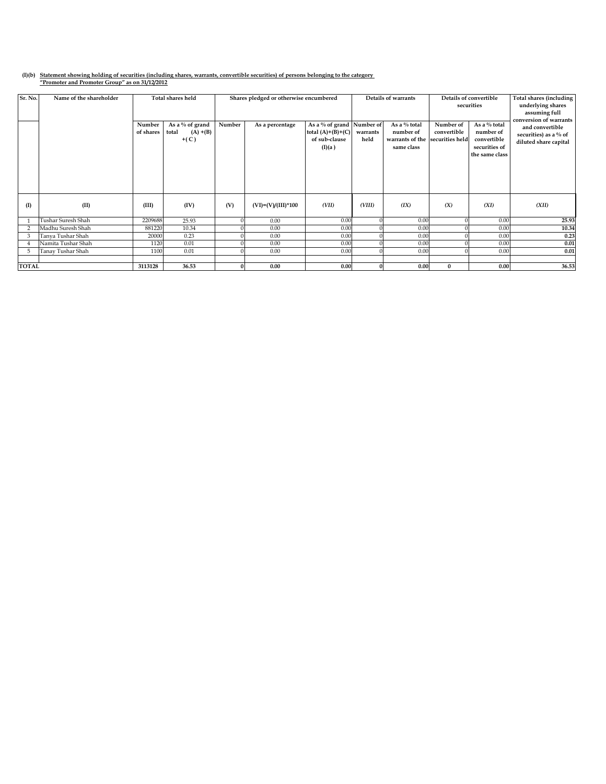## **(I)(b) Statement showing holding of securities (including shares, warrants, convertible securities) of persons belonging to the category "Promoter and Promoter Group" as on 31/12/2012**

| Sr. No.        | Name of the shareholder |                     | <b>Total shares held</b>                          |          |                         | Shares pledged or otherwise encumbered                                      |                  | Details of warrants                                                        |                          | Details of convertible<br>securities                                        | Total shares (including<br>underlying shares<br>assuming full<br>conversion of warrants |  |
|----------------|-------------------------|---------------------|---------------------------------------------------|----------|-------------------------|-----------------------------------------------------------------------------|------------------|----------------------------------------------------------------------------|--------------------------|-----------------------------------------------------------------------------|-----------------------------------------------------------------------------------------|--|
|                |                         | Number<br>of shares | As a % of grand<br>total<br>$(A) + (B)$<br>$+(C)$ | Number   | As a percentage         | As a % of grand Number of<br>total $(A)+(B)+(C)$<br>of sub-clause<br>(I)(a) | warrants<br>held | As a % total<br>number of<br>warrants of the securities held<br>same class | Number of<br>convertible | As a % total<br>number of<br>convertible<br>securities of<br>the same class | and convertible<br>securities) as a % of<br>diluted share capital                       |  |
| (I)            | (II)                    | (III)               | (IV)                                              | (V)      | $(VI) = (V)/(III)^*100$ | (VII)                                                                       | (VIII)           | (IX)                                                                       | (X)                      | (XI)                                                                        | (XII)                                                                                   |  |
|                | Tushar Suresh Shah      | 2209688             | 25.93                                             |          | 0.00                    | 0.00                                                                        |                  | 0.00                                                                       |                          | 0.00                                                                        | 25.93                                                                                   |  |
| $\overline{2}$ | Madhu Suresh Shah       | 881220              | 10.34                                             |          | 0.00                    | 0.00                                                                        |                  | 0.00                                                                       |                          | 0.00                                                                        | 10.34                                                                                   |  |
| 3              | Tanya Tushar Shah       | 20000               | 0.23                                              |          | 0.00                    | 0.00                                                                        |                  | 0.00                                                                       |                          | 0.00                                                                        | 0.23                                                                                    |  |
|                | Namita Tushar Shah      | 1120                | 0.01                                              |          | 0.00                    | 0.00                                                                        |                  | 0.00                                                                       |                          | 0.00                                                                        | 0.01                                                                                    |  |
| -5             | Tanay Tushar Shah       | 1100                | 0.01                                              |          | 0.00                    | 0.00                                                                        |                  | 0.00                                                                       |                          | 0.00                                                                        | 0.01                                                                                    |  |
|                |                         |                     |                                                   |          |                         |                                                                             |                  |                                                                            |                          |                                                                             |                                                                                         |  |
| <b>TOTAL</b>   |                         | 3113128             | 36.53                                             | $\Omega$ | 0.00                    | 0.00                                                                        |                  | 0.00                                                                       | $\mathbf{0}$             | 0.00                                                                        | 36.53                                                                                   |  |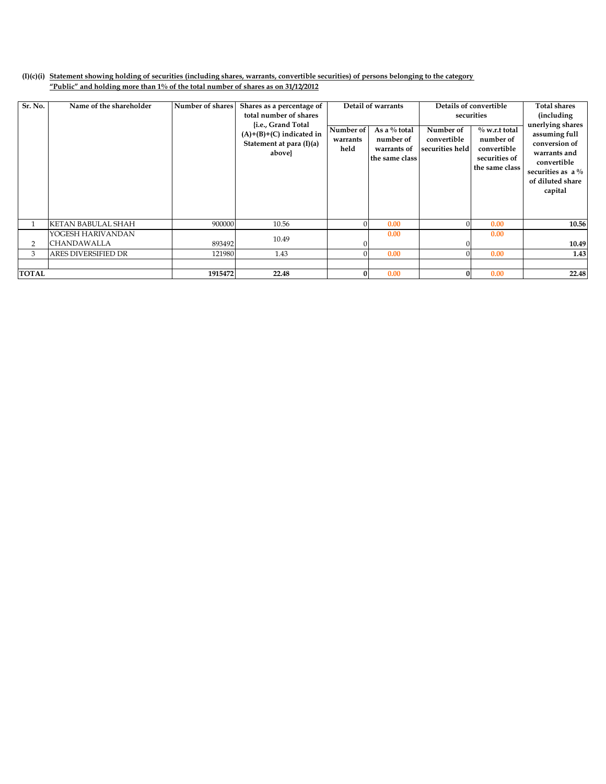## **(I)(c)(i) Statement showing holding of securities (including shares, warrants, convertible securities) of persons belonging to the category "Public" and holding more than 1% of the total number of shares as on 31/12/2012**

| Sr. No.      | Name of the shareholder    | Number of shares |                                                                              |                               |                                                              |                                             |                                                                                 | <b>Total shares</b>                                                                                                                     |  |
|--------------|----------------------------|------------------|------------------------------------------------------------------------------|-------------------------------|--------------------------------------------------------------|---------------------------------------------|---------------------------------------------------------------------------------|-----------------------------------------------------------------------------------------------------------------------------------------|--|
|              |                            |                  | Shares as a percentage of                                                    | Detail of warrants            |                                                              | Details of convertible                      |                                                                                 | <i>(including)</i>                                                                                                                      |  |
|              |                            |                  | total number of shares                                                       |                               |                                                              |                                             | securities                                                                      |                                                                                                                                         |  |
|              |                            | above}           | {i.e., Grand Total<br>$(A)+(B)+(C)$ indicated in<br>Statement at para (I)(a) | Number of<br>warrants<br>held | As a $%$ total<br>number of<br>warrants of<br>the same class | Number of<br>convertible<br>securities held | $\%$ w.r.t total<br>number of<br>convertible<br>securities of<br>the same class | unerlying shares<br>assuming full<br>conversion of<br>warrants and<br>convertible<br>securities as $a\%$<br>of diluted share<br>capital |  |
|              | <b>KETAN BABULAL SHAH</b>  | 900000           | 10.56                                                                        |                               | 0.00                                                         |                                             | 0.00                                                                            | 10.56                                                                                                                                   |  |
|              | YOGESH HARIVANDAN          |                  |                                                                              |                               | 0.00                                                         |                                             | 0.00                                                                            |                                                                                                                                         |  |
| 2            | <b>CHANDAWALLA</b>         | 893492           | 10.49                                                                        |                               |                                                              |                                             |                                                                                 | 10.49                                                                                                                                   |  |
| 3            | <b>ARES DIVERSIFIED DR</b> | 121980           | 1.43                                                                         |                               | 0.00                                                         |                                             | 0.00                                                                            | 1.43                                                                                                                                    |  |
|              |                            |                  |                                                                              |                               |                                                              |                                             |                                                                                 |                                                                                                                                         |  |
| <b>TOTAL</b> |                            | 1915472          | 22.48                                                                        |                               | 0.00                                                         | $\Omega$                                    | 0.00                                                                            | 22.48                                                                                                                                   |  |